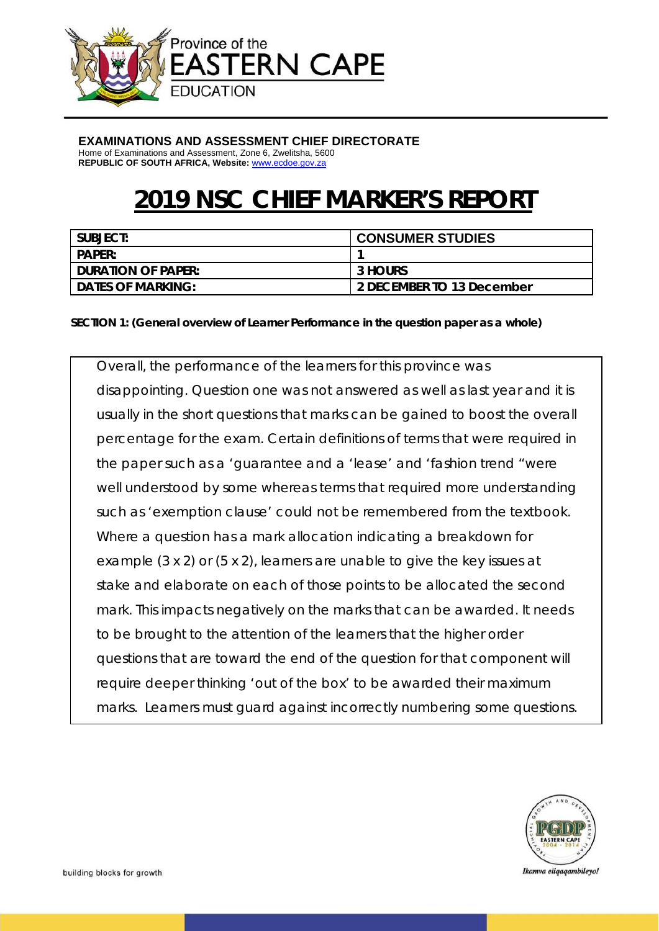

#### **EXAMINATIONS AND ASSESSMENT CHIEF DIRECTORATE**

Home of Examinations and Assessment, Zone 6, Zwelitsha, 5600 **REPUBLIC OF SOUTH AFRICA, Website:** www.ecdoe.gov.za

# **2019 NSC CHIEF MARKER'S REPORT**

| SUBJECT:                  | <b>CONSUMER STUDIES</b>   |
|---------------------------|---------------------------|
| <b>PAPER:</b>             |                           |
| <b>DURATION OF PAPER:</b> | 3 HOURS                   |
| <b>DATES OF MARKING:</b>  | 2 DECEMBER TO 13 December |

#### **SECTION 1: (General overview of Learner Performance in the question paper as a whole)**

Overall, the performance of the learners for this province was disappointing. Question one was not answered as well as last year and it is usually in the short questions that marks can be gained to boost the overall percentage for the exam. Certain definitions of terms that were required in the paper such as a 'guarantee and a 'lease' and 'fashion trend "were well understood by some whereas terms that required more understanding such as 'exemption clause' could not be remembered from the textbook. Where a question has a mark allocation indicating a breakdown for example (3 x 2) or (5 x 2), learners are unable to give the key issues at stake and elaborate on each of those points to be allocated the second mark. This impacts negatively on the marks that can be awarded. It needs to be brought to the attention of the learners that the higher order questions that are toward the end of the question for that component will require deeper thinking 'out of the box' to be awarded their maximum marks. Learners must guard against incorrectly numbering some questions.

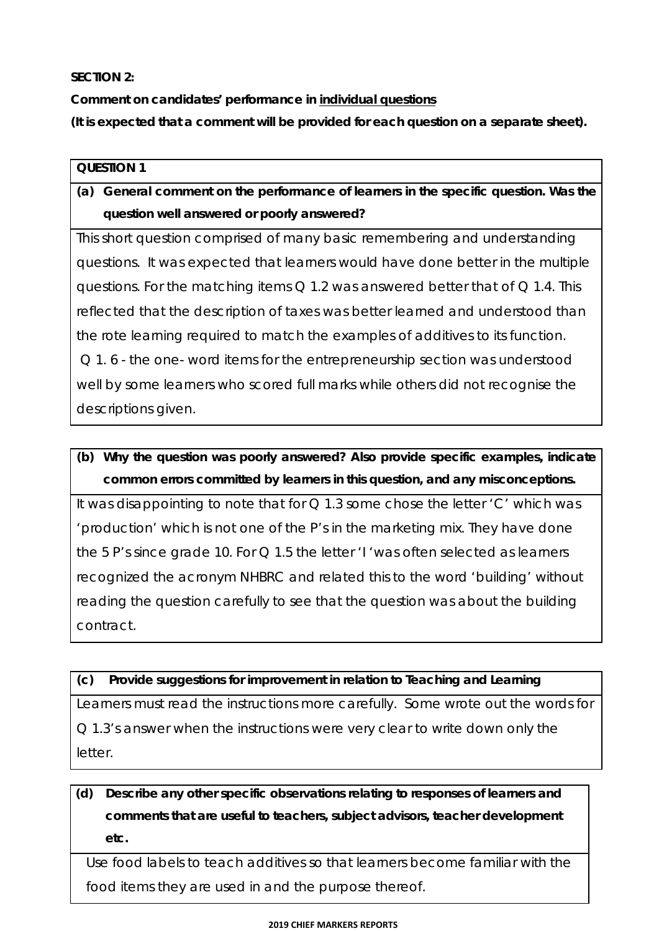### **SECTION 2:**

**Comment on candidates' performance in individual questions** 

**(It is expected that a comment will be provided for each question on a separate sheet).** 

### **QUESTION 1**

# **(a) General comment on the performance of learners in the specific question. Was the question well answered or poorly answered?**

This short question comprised of many basic remembering and understanding questions. It was expected that learners would have done better in the multiple questions. For the matching items Q 1.2 was answered better that of Q 1.4. This reflected that the description of taxes was better learned and understood than the rote learning required to match the examples of additives to its function. Q 1. 6 - the one- word items for the entrepreneurship section was understood well by some learners who scored full marks while others did not recognise the descriptions given.

**(b) Why the question was poorly answered? Also provide specific examples, indicate common errors committed by learners in this question, and any misconceptions.** 

It was disappointing to note that for  $Q$  1.3 some chose the letter 'C' which was 'production' which is not one of the P's in the marketing mix. They have done the 5 P's since grade 10. For Q 1.5 the letter 'I 'was often selected as learners recognized the acronym NHBRC and related this to the word 'building' without reading the question carefully to see that the question was about the building contract.

### **(c) Provide suggestions for improvement in relation to Teaching and Learning**

Learners must read the instructions more carefully. Some wrote out the words for Q 1.3's answer when the instructions were very clear to write down only the letter.

**(d) Describe any other specific observations relating to responses of learners and comments that are useful to teachers, subject advisors, teacher development etc.** 

Use food labels to teach additives so that learners become familiar with the food items they are used in and the purpose thereof.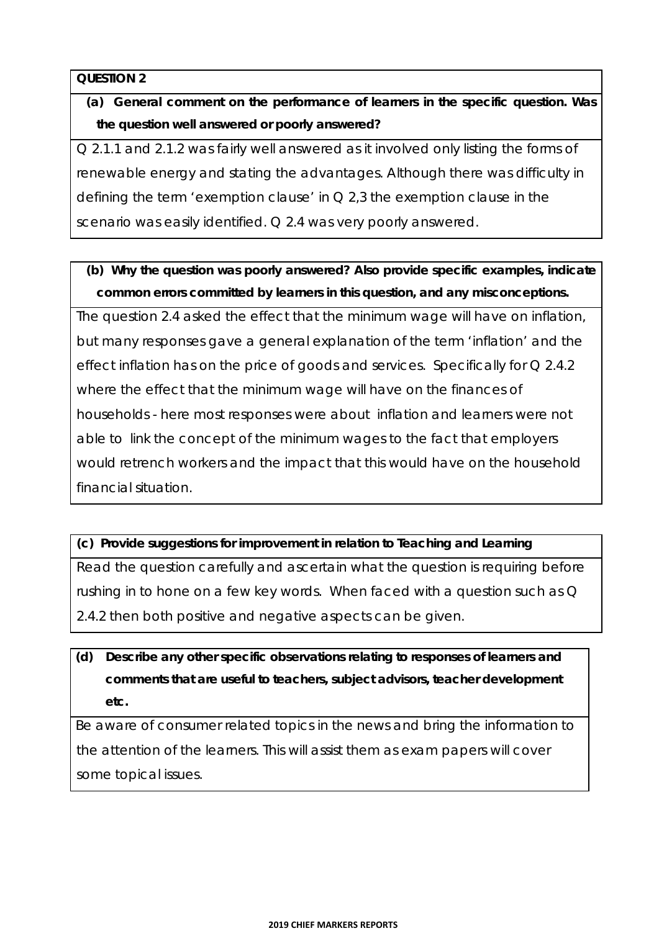**(a) General comment on the performance of learners in the specific question. Was the question well answered or poorly answered?** 

Q 2.1.1 and 2.1.2 was fairly well answered as it involved only listing the forms of renewable energy and stating the advantages. Although there was difficulty in defining the term 'exemption clause' in  $Q$  2,3 the exemption clause in the scenario was easily identified. Q 2.4 was very poorly answered.

# **(b) Why the question was poorly answered? Also provide specific examples, indicate common errors committed by learners in this question, and any misconceptions.**

The question 2.4 asked the effect that the minimum wage will have on inflation, but many responses gave a general explanation of the term 'inflation' and the effect inflation has on the price of goods and services. Specifically for Q 2.4.2 where the effect that the minimum wage will have on the finances of households - here most responses were about inflation and learners were not able to link the concept of the minimum wages to the fact that employers would retrench workers and the impact that this would have on the household financial situation.

### **(c) Provide suggestions for improvement in relation to Teaching and Learning**

Read the question carefully and ascertain what the question is requiring before rushing in to hone on a few key words. When faced with a question such as Q 2.4.2 then both positive and negative aspects can be given.

# **(d) Describe any other specific observations relating to responses of learners and comments that are useful to teachers, subject advisors, teacher development etc.**

Be aware of consumer related topics in the news and bring the information to the attention of the learners. This will assist them as exam papers will cover some topical issues.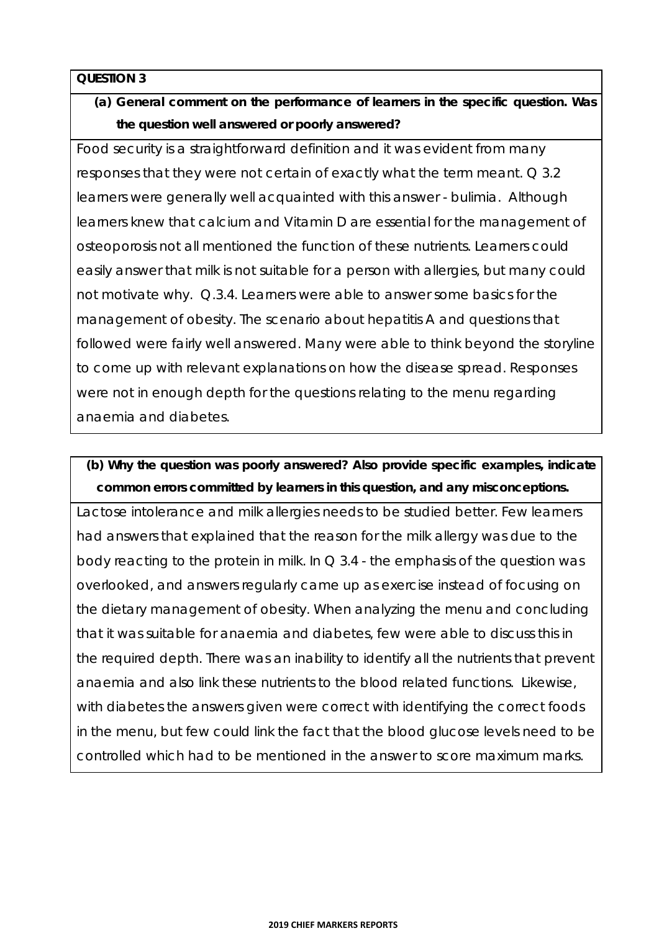# **(a) General comment on the performance of learners in the specific question. Was the question well answered or poorly answered?**

Food security is a straightforward definition and it was evident from many responses that they were not certain of exactly what the term meant. Q 3.2 learners were generally well acquainted with this answer - bulimia. Although learners knew that calcium and Vitamin D are essential for the management of osteoporosis not all mentioned the function of these nutrients. Learners could easily answer that milk is not suitable for a person with allergies, but many could not motivate why. Q.3.4. Learners were able to answer some basics for the management of obesity. The scenario about hepatitis A and questions that followed were fairly well answered. Many were able to think beyond the storyline to come up with relevant explanations on how the disease spread. Responses were not in enough depth for the questions relating to the menu regarding anaemia and diabetes.

# **(b) Why the question was poorly answered? Also provide specific examples, indicate common errors committed by learners in this question, and any misconceptions.**

Lactose intolerance and milk allergies needs to be studied better. Few learners had answers that explained that the reason for the milk allergy was due to the body reacting to the protein in milk. In  $\Omega$  3.4 - the emphasis of the question was overlooked, and answers regularly came up as exercise instead of focusing on the dietary management of obesity. When analyzing the menu and concluding that it was suitable for anaemia and diabetes, few were able to discuss this in the required depth. There was an inability to identify all the nutrients that prevent anaemia and also link these nutrients to the blood related functions. Likewise, with diabetes the answers given were correct with identifying the correct foods in the menu, but few could link the fact that the blood glucose levels need to be controlled which had to be mentioned in the answer to score maximum marks.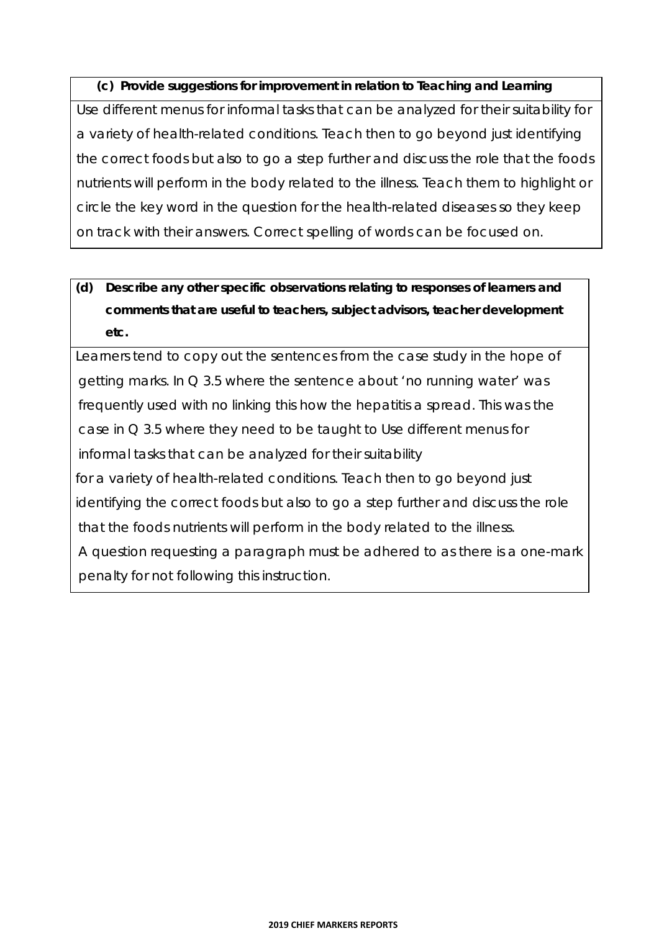### **(c) Provide suggestions for improvement in relation to Teaching and Learning**

Use different menus for informal tasks that can be analyzed for their suitability for a variety of health-related conditions. Teach then to go beyond just identifying the correct foods but also to go a step further and discuss the role that the foods nutrients will perform in the body related to the illness. Teach them to highlight or circle the key word in the question for the health-related diseases so they keep on track with their answers. Correct spelling of words can be focused on.

# **(d) Describe any other specific observations relating to responses of learners and comments that are useful to teachers, subject advisors, teacher development etc.**

Learners tend to copy out the sentences from the case study in the hope of getting marks. In Q 3.5 where the sentence about 'no running water' was frequently used with no linking this how the hepatitis a spread. This was the case in Q 3.5 where they need to be taught to Use different menus for informal tasks that can be analyzed for their suitability for a variety of health-related conditions. Teach then to go beyond just identifying the correct foods but also to go a step further and discuss the role that the foods nutrients will perform in the body related to the illness. A question requesting a paragraph must be adhered to as there is a one-mark penalty for not following this instruction.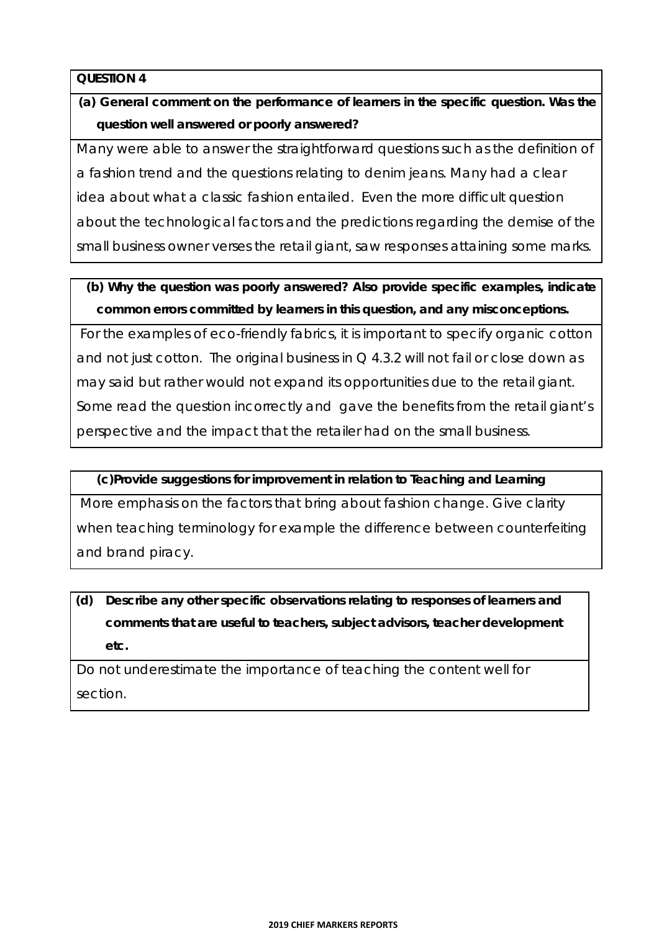**(a) General comment on the performance of learners in the specific question. Was the question well answered or poorly answered?** 

Many were able to answer the straightforward questions such as the definition of a fashion trend and the questions relating to denim jeans. Many had a clear idea about what a classic fashion entailed. Even the more difficult question about the technological factors and the predictions regarding the demise of the small business owner verses the retail giant, saw responses attaining some marks.

### **(b) Why the question was poorly answered? Also provide specific examples, indicate common errors committed by learners in this question, and any misconceptions.**

 For the examples of eco-friendly fabrics, it is important to specify organic cotton and not just cotton. The original business in  $Q$  4.3.2 will not fail or close down as may said but rather would not expand its opportunities due to the retail giant. Some read the question incorrectly and gave the benefits from the retail giant's perspective and the impact that the retailer had on the small business.

### **(c)Provide suggestions for improvement in relation to Teaching and Learning**

 More emphasis on the factors that bring about fashion change. Give clarity when teaching terminology for example the difference between counterfeiting and brand piracy.

**(d) Describe any other specific observations relating to responses of learners and comments that are useful to teachers, subject advisors, teacher development etc.** 

Do not underestimate the importance of teaching the content well for section.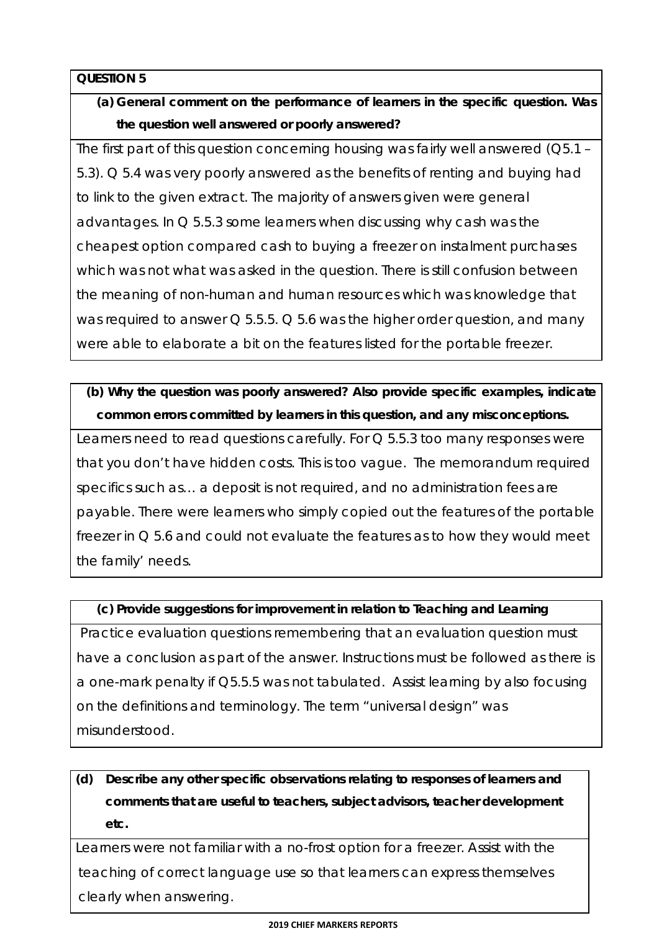# **(a) General comment on the performance of learners in the specific question. Was the question well answered or poorly answered?**

The first part of this question concerning housing was fairly well answered (Q5.1 – 5.3). Q 5.4 was very poorly answered as the benefits of renting and buying had to link to the given extract. The majority of answers given were general advantages. In Q 5.5.3 some learners when discussing why cash was the cheapest option compared cash to buying a freezer on instalment purchases which was not what was asked in the question. There is still confusion between the meaning of non-human and human resources which was knowledge that was required to answer  $\Omega$  5.5.5.  $\Omega$  5.6 was the higher order question, and many were able to elaborate a bit on the features listed for the portable freezer.

### **(b) Why the question was poorly answered? Also provide specific examples, indicate common errors committed by learners in this question, and any misconceptions.**

Learners need to read questions carefully. For Q 5.5.3 too many responses were that you don't have hidden costs. This is too vague. The memorandum required specifics such as… a deposit is not required, and no administration fees are payable. There were learners who simply copied out the features of the portable freezer in Q 5.6 and could not evaluate the features as to how they would meet the family' needs.

### **(c) Provide suggestions for improvement in relation to Teaching and Learning**

 Practice evaluation questions remembering that an evaluation question must have a conclusion as part of the answer. Instructions must be followed as there is a one-mark penalty if Q5.5.5 was not tabulated. Assist learning by also focusing on the definitions and terminology. The term "universal design" was misunderstood.

# **(d) Describe any other specific observations relating to responses of learners and comments that are useful to teachers, subject advisors, teacher development etc.**

Learners were not familiar with a no-frost option for a freezer. Assist with the teaching of correct language use so that learners can express themselves clearly when answering.